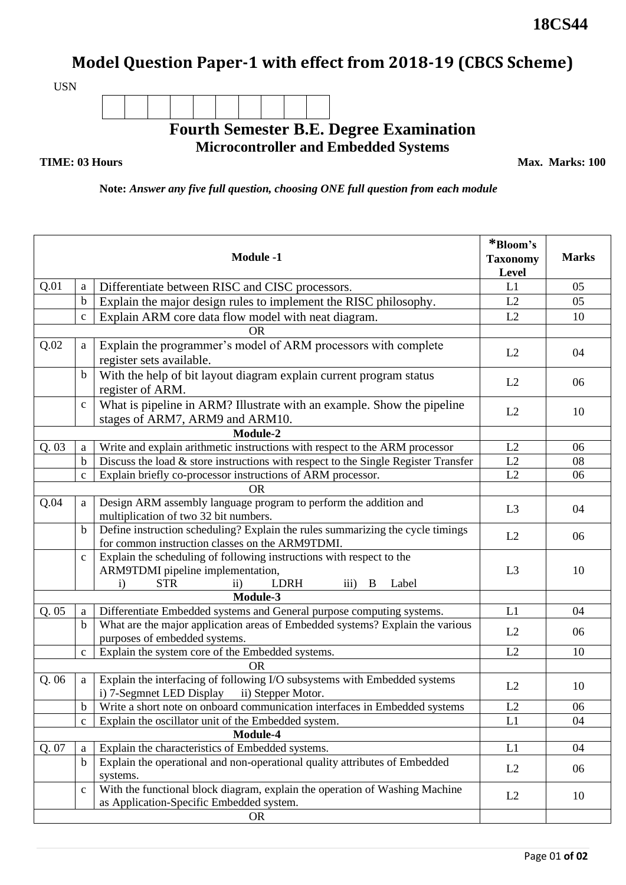## **Model Question Paper-1 with effect from 2018-19 (CBCS Scheme)**

USN

## **Fourth Semester B.E. Degree Examination Microcontroller and Embedded Systems**

## **TIME: 03 Hours**

**Max. Marks: 100**

**Note:** *Answer any five full question, choosing ONE full question from each module*

| <b>Module -1</b> |              |                                                                                                                                                                                                       | *Bloom's<br><b>Taxonomy</b><br>Level | <b>Marks</b> |  |
|------------------|--------------|-------------------------------------------------------------------------------------------------------------------------------------------------------------------------------------------------------|--------------------------------------|--------------|--|
| Q.01             | a            | Differentiate between RISC and CISC processors.                                                                                                                                                       | L1                                   | 05           |  |
|                  | $\mathbf b$  | Explain the major design rules to implement the RISC philosophy.                                                                                                                                      | L2                                   | 05           |  |
|                  | $\mathbf C$  | Explain ARM core data flow model with neat diagram.                                                                                                                                                   | L2                                   | 10           |  |
|                  |              | OR                                                                                                                                                                                                    |                                      |              |  |
| Q.02             | a            | Explain the programmer's model of ARM processors with complete<br>register sets available.                                                                                                            | L2                                   | 04           |  |
|                  | b            | With the help of bit layout diagram explain current program status<br>register of ARM.                                                                                                                | L2                                   | 06           |  |
|                  | $\mathbf C$  | What is pipeline in ARM? Illustrate with an example. Show the pipeline<br>stages of ARM7, ARM9 and ARM10.                                                                                             | L2                                   | 10           |  |
| Module-2         |              |                                                                                                                                                                                                       |                                      |              |  |
| Q.03             | a            | Write and explain arithmetic instructions with respect to the ARM processor                                                                                                                           | L2                                   | 06           |  |
|                  | $\mathbf b$  | Discuss the load $\&$ store instructions with respect to the Single Register Transfer                                                                                                                 | L2                                   | 08           |  |
|                  | $\mathbf C$  | Explain briefly co-processor instructions of ARM processor.                                                                                                                                           | L2                                   | 06           |  |
|                  |              | <b>OR</b>                                                                                                                                                                                             |                                      |              |  |
| Q.04             | a            | Design ARM assembly language program to perform the addition and<br>multiplication of two 32 bit numbers.                                                                                             | L <sub>3</sub>                       | 04           |  |
|                  | b            | Define instruction scheduling? Explain the rules summarizing the cycle timings<br>for common instruction classes on the ARM9TDMI.                                                                     | L2                                   | 06           |  |
|                  | $\mathbf{C}$ | Explain the scheduling of following instructions with respect to the<br>ARM9TDMI pipeline implementation,<br><b>LDRH</b><br><b>STR</b><br>Label<br>$\mathbf{i}$<br>$\rm ii)$<br>$\overline{111}$<br>В | L <sub>3</sub>                       | 10           |  |
| Module-3         |              |                                                                                                                                                                                                       |                                      |              |  |
| Q.05             | a            | Differentiate Embedded systems and General purpose computing systems.                                                                                                                                 | L1                                   | 04           |  |
|                  | $\mathbf b$  | What are the major application areas of Embedded systems? Explain the various<br>purposes of embedded systems.                                                                                        | L2                                   | 06           |  |
|                  | $\mathbf C$  | Explain the system core of the Embedded systems.                                                                                                                                                      | L2                                   | 10           |  |
| <b>OR</b>        |              |                                                                                                                                                                                                       |                                      |              |  |
| Q.06             | a            | Explain the interfacing of following I/O subsystems with Embedded systems<br>i) 7-Segmnet LED Display ii) Stepper Motor.                                                                              | L2                                   | 10           |  |
|                  | $\mathbf b$  | Write a short note on onboard communication interfaces in Embedded systems                                                                                                                            | L2                                   | 06           |  |
|                  | $\mathbf{C}$ | Explain the oscillator unit of the Embedded system.                                                                                                                                                   | L1                                   | 04           |  |
|                  |              | Module-4                                                                                                                                                                                              |                                      |              |  |
| Q. 07            | a            | Explain the characteristics of Embedded systems.                                                                                                                                                      | L1                                   | 04           |  |
|                  | $\mathbf b$  | Explain the operational and non-operational quality attributes of Embedded<br>systems.                                                                                                                | L2                                   | 06           |  |
|                  | $\mathbf c$  | With the functional block diagram, explain the operation of Washing Machine<br>as Application-Specific Embedded system.                                                                               | L2                                   | 10           |  |
| <b>OR</b>        |              |                                                                                                                                                                                                       |                                      |              |  |